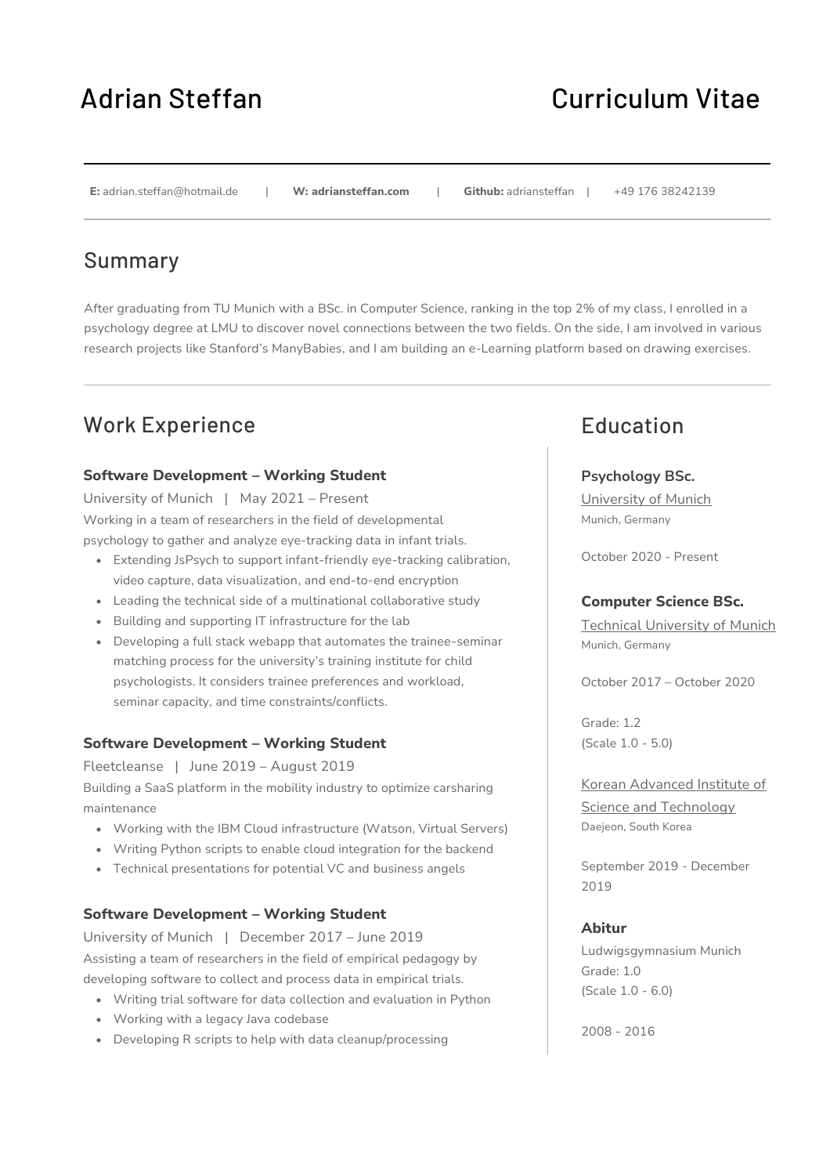# Adrian Steffan Curriculum Vitae

#### **E:** adrian.steffan@hotmail.de | **W: adriansteffan.com** | **Github:** adriansteffan | +49 176 38242139

### Summary

After graduating from TU Munich with a BSc. in Computer Science, ranking in the top 2% of my class, I enrolled in a psychology degree at LMU to discover novel connections between the two fields. On the side, I am involved in various research projects like Stanford's ManyBabies, and I am building an e-Learning platform based on drawing exercises.

### Work Experience

### **Software Development – Working Student**

University of Munich | May 2021 – Present Working in a team of researchers in the field of developmental psychology to gather and analyze eye-tracking data in infant trials.

- Extending JsPsych to support infant-friendly eye-tracking calibration, video capture, data visualization, and end-to-end encryption
- Leading the technical side of a multinational collaborative study
- Building and supporting IT infrastructure for the lab
- Developing a full stack webapp that automates the trainee-seminar matching process for the university's training institute for child psychologists. It considers trainee preferences and workload, seminar capacity, and time constraints/conflicts.

### **Software Development – Working Student**

Fleetcleanse | June 2019 – August 2019 Building a SaaS platform in the mobility industry to optimize carsharing maintenance

- Working with the IBM Cloud infrastructure (Watson, Virtual Servers)
- Writing Python scripts to enable cloud integration for the backend
- Technical presentations for potential VC and business angels

### **Software Development – Working Student**

University of Munich | December 2017 – June 2019 Assisting a team of researchers in the field of empirical pedagogy by developing software to collect and process data in empirical trials.

- Writing trial software for data collection and evaluation in Python
- Working with a legacy Java codebase
- Developing R scripts to help with data cleanup/processing

### Education

### **Psychology BSc.**

University of Munich Munich, Germany

October 2020 - Present

### **Computer Science BSc.**

Technical University of Munich Munich, Germany

October 2017 – October 2020

Grade: 1.2 (Scale 1.0 - 5.0)

Korean Advanced Institute of Science and Technology Daejeon, South Korea

September 2019 - December 2019

#### **Abitur**

Ludwigsgymnasium Munich Grade: 1.0 (Scale 1.0 - 6.0)

2008 - 2016